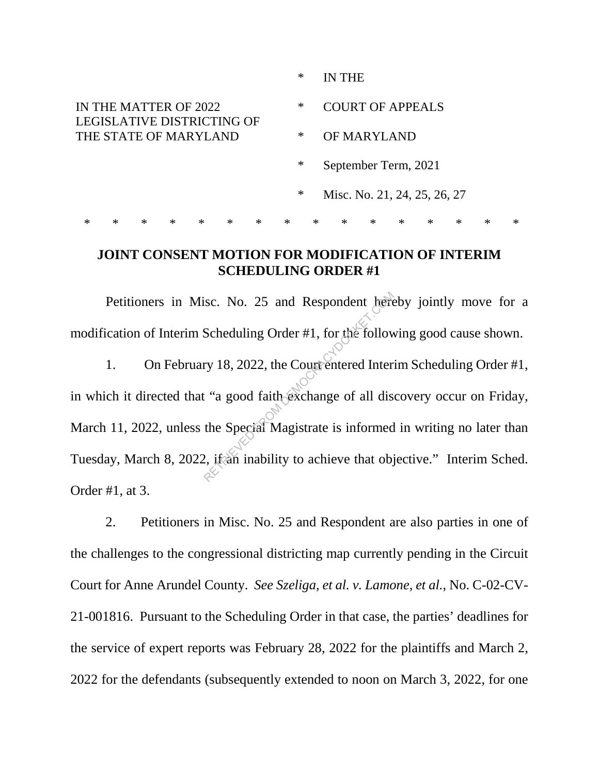|                                                                              |        |        |        |        |        |        |        | ∗                                 |                              | IN THE               |        |        |        |        |        |        |  |
|------------------------------------------------------------------------------|--------|--------|--------|--------|--------|--------|--------|-----------------------------------|------------------------------|----------------------|--------|--------|--------|--------|--------|--------|--|
| IN THE MATTER OF 2022<br>LEGISLATIVE DISTRICTING OF<br>THE STATE OF MARYLAND |        |        |        |        |        |        |        | $\ast$<br><b>COURT OF APPEALS</b> |                              |                      |        |        |        |        |        |        |  |
|                                                                              |        |        |        |        |        |        |        | $\ast$                            |                              | OF MARYLAND          |        |        |        |        |        |        |  |
|                                                                              |        |        |        |        |        |        |        | $\ast$                            |                              | September Term, 2021 |        |        |        |        |        |        |  |
|                                                                              |        |        |        |        |        |        |        | $\ast$                            | Misc. No. 21, 24, 25, 26, 27 |                      |        |        |        |        |        |        |  |
| $\ast$                                                                       | $\ast$ | $\ast$ | $\ast$ | $\ast$ | $\ast$ | $\ast$ | $\ast$ |                                   | $\ast$                       | $\ast$               | $\ast$ | $\ast$ | $\ast$ | $\ast$ | $\ast$ | $\ast$ |  |

## **JOINT CONSENT MOTION FOR MODIFICATION OF INTERIM SCHEDULING ORDER #1**

Petitioners in Misc. No. 25 and Respondent hereby jointly move for a modification of Interim Scheduling Order #1, for the following good cause shown.

1. On February 18, 2022, the Court entered Interim Scheduling Order #1, in which it directed that "a good faith exchange of all discovery occur on Friday, March 11, 2022, unless the Special Magistrate is informed in writing no later than Tuesday, March 8, 2022, if an inability to achieve that objective." Interim Sched. Order #1, at 3. Scheduling Order #1, for the follow<br>Scheduling Order #1, for the follow<br>ry 18, 2022, the Court entered Inter-<br>t "a good faith exchange of all dis-<br>the Special Magistrate is informed<br>2, it an inability to achieve that obj

2. Petitioners in Misc. No. 25 and Respondent are also parties in one of the challenges to the congressional districting map currently pending in the Circuit Court for Anne Arundel County. *See Szeliga, et al. v. Lamone, et al.*, No. C-02-CV-21-001816. Pursuant to the Scheduling Order in that case, the parties' deadlines for the service of expert reports was February 28, 2022 for the plaintiffs and March 2, 2022 for the defendants (subsequently extended to noon on March 3, 2022, for one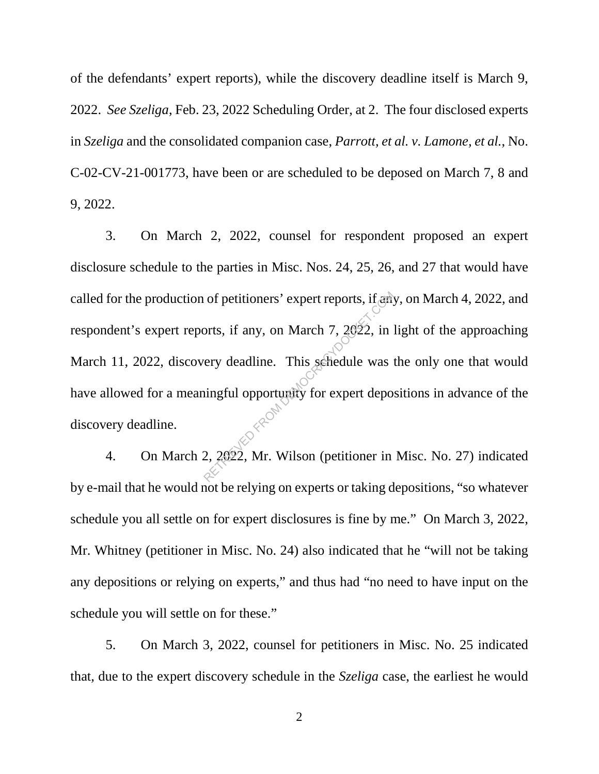of the defendants' expert reports), while the discovery deadline itself is March 9, 2022. *See Szeliga*, Feb. 23, 2022 Scheduling Order, at 2. The four disclosed experts in *Szeliga* and the consolidated companion case, *Parrott, et al. v. Lamone, et al.*, No. C-02-CV-21-001773, have been or are scheduled to be deposed on March 7, 8 and 9, 2022.

3. On March 2, 2022, counsel for respondent proposed an expert disclosure schedule to the parties in Misc. Nos. 24, 25, 26, and 27 that would have called for the production of petitioners' expert reports, if any, on March 4, 2022, and respondent's expert reports, if any, on March 7, 2022, in light of the approaching March 11, 2022, discovery deadline. This schedule was the only one that would have allowed for a meaningful opportunity for expert depositions in advance of the discovery deadline. of petitioners' expert reports, if and<br>orts, if any, on March 7, 2022, in<br>ery deadline. This selectule was in<br>ingful opportunity for expert depo<br>2, 2022, Mr. Wilson (petitioner in

4. On March 2, 2022, Mr. Wilson (petitioner in Misc. No. 27) indicated by e-mail that he would not be relying on experts or taking depositions, "so whatever schedule you all settle on for expert disclosures is fine by me." On March 3, 2022, Mr. Whitney (petitioner in Misc. No. 24) also indicated that he "will not be taking any depositions or relying on experts," and thus had "no need to have input on the schedule you will settle on for these."

5. On March 3, 2022, counsel for petitioners in Misc. No. 25 indicated that, due to the expert discovery schedule in the *Szeliga* case, the earliest he would

2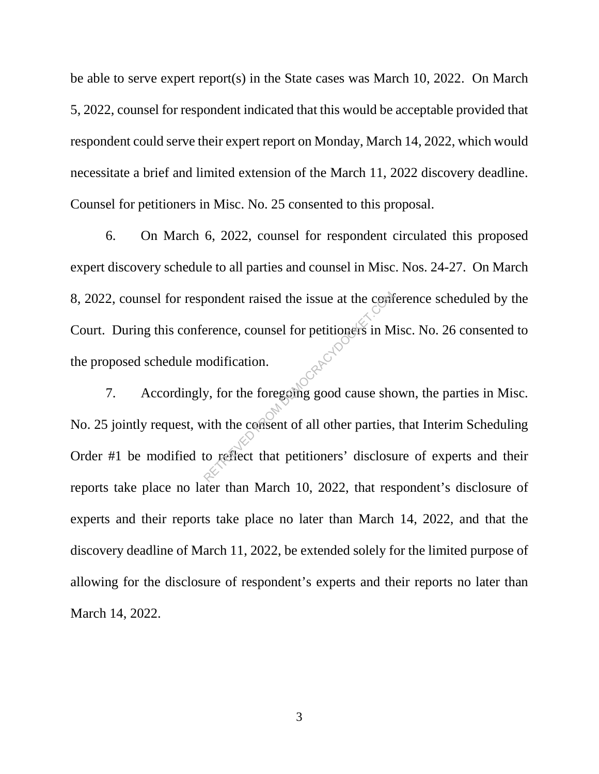be able to serve expert report(s) in the State cases was March 10, 2022. On March 5, 2022, counsel for respondent indicated that this would be acceptable provided that respondent could serve their expert report on Monday, March 14, 2022, which would necessitate a brief and limited extension of the March 11, 2022 discovery deadline. Counsel for petitioners in Misc. No. 25 consented to this proposal.

6. On March 6, 2022, counsel for respondent circulated this proposed expert discovery schedule to all parties and counsel in Misc. Nos. 24-27. On March 8, 2022, counsel for respondent raised the issue at the conference scheduled by the Court. During this conference, counsel for petitioners in Misc. No. 26 consented to the proposed schedule modification.

7. Accordingly, for the foregoing good cause shown, the parties in Misc. No. 25 jointly request, with the consent of all other parties, that Interim Scheduling Order #1 be modified to reflect that petitioners' disclosure of experts and their reports take place no later than March 10, 2022, that respondent's disclosure of experts and their reports take place no later than March 14, 2022, and that the discovery deadline of March 11, 2022, be extended solely for the limited purpose of allowing for the disclosure of respondent's experts and their reports no later than March 14, 2022. Solution and the issue at the commercies of the series of the contraction of the foregoing good cause show with the contract of all other parties, to reflect that petitioners' disclosure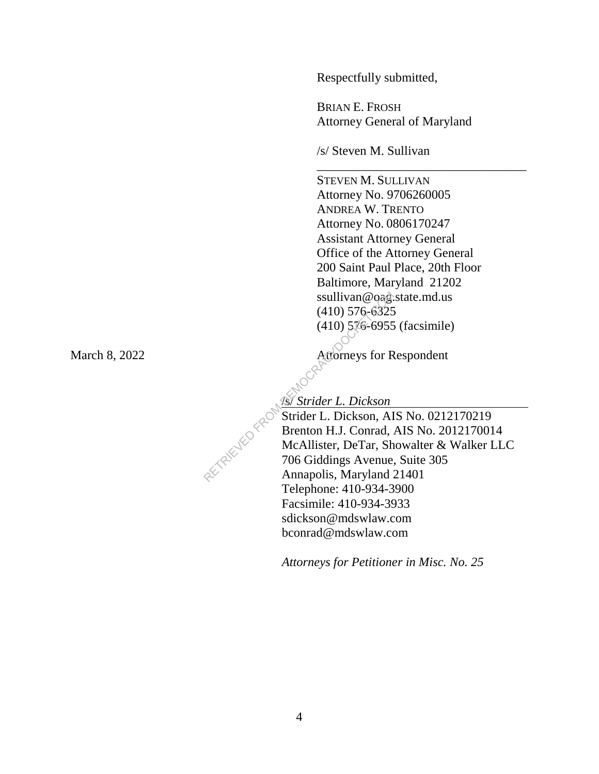Respectfully submitted,

BRIAN E. FROSH Attorney General of Maryland

\_\_\_\_\_\_\_\_\_\_\_\_\_\_\_\_\_\_\_\_\_\_\_\_\_\_\_\_\_\_\_\_\_

/s/ Steven M. Sullivan

STEVEN M. SULLIVAN Attorney No. 9706260005 ANDREA W. TRENTO Attorney No. 0806170247 Assistant Attorney General Office of the Attorney General 200 Saint Paul Place, 20th Floor Baltimore, Maryland 21202 ssullivan@oag.state.md.us (410) 576-6325 (410) 576-6955 (facsimile)

March 8, 2022 Attorneys for Respondent

/s/ *Strider L. Dickson*

 Strider L. Dickson, AIS No. 0212170219 Brenton H.J. Conrad, AIS No. 2012170014 McAllister, DeTar, Showalter & Walker LLC 706 Giddings Avenue, Suite 305 Annapolis, Maryland 21401 Telephone: 410-934-3900 Facsimile: 410-934-3933 sdickson@mdswlaw.com bconrad@mdswlaw.com Sullivan @ 0ag.<br>
(410) 576-6325<br>
(410) 576-6325<br>
(410) 576-6955<br>
(410) 576-6955<br>
(410) 576-6955<br>
(410) 576-6955<br>
Attorneys for R<br>
Attorneys for R<br>
McAllister, DeCar, Al<br>
Brenton H.J. Conrad,<br>
McAllister, DeTar, Sh<br>
706 Gid

*Attorneys for Petitioner in Misc. No. 25*